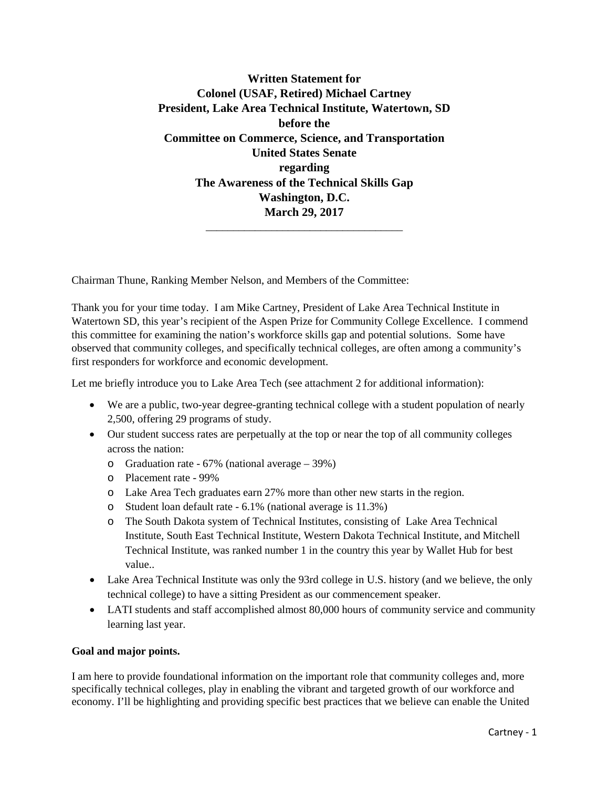**Written Statement for Colonel (USAF, Retired) Michael Cartney President, Lake Area Technical Institute, Watertown, SD before the Committee on Commerce, Science, and Transportation United States Senate regarding The Awareness of the Technical Skills Gap Washington, D.C. March 29, 2017**

\_\_\_\_\_\_\_\_\_\_\_\_\_\_\_\_\_\_\_\_\_\_\_\_\_\_\_\_\_\_\_\_\_\_\_\_

Chairman Thune, Ranking Member Nelson, and Members of the Committee:

Thank you for your time today. I am Mike Cartney, President of Lake Area Technical Institute in Watertown SD, this year's recipient of the Aspen Prize for Community College Excellence. I commend this committee for examining the nation's workforce skills gap and potential solutions. Some have observed that community colleges, and specifically technical colleges, are often among a community's first responders for workforce and economic development.

Let me briefly introduce you to Lake Area Tech (see attachment 2 for additional information):

- We are a public, two-year degree-granting technical college with a student population of nearly 2,500, offering 29 programs of study.
- Our student success rates are perpetually at the top or near the top of all community colleges across the nation:
	- o Graduation rate 67% (national average 39%)
	- o Placement rate 99%
	- o Lake Area Tech graduates earn 27% more than other new starts in the region.
	- o Student loan default rate 6.1% (national average is 11.3%)
	- o The South Dakota system of Technical Institutes, consisting of Lake Area Technical Institute, South East Technical Institute, Western Dakota Technical Institute, and Mitchell Technical Institute, was ranked number 1 in the country this year by Wallet Hub for best value..
- Lake Area Technical Institute was only the 93rd college in U.S. history (and we believe, the only technical college) to have a sitting President as our commencement speaker.
- LATI students and staff accomplished almost 80,000 hours of community service and community learning last year.

#### **Goal and major points.**

I am here to provide foundational information on the important role that community colleges and, more specifically technical colleges, play in enabling the vibrant and targeted growth of our workforce and economy. I'll be highlighting and providing specific best practices that we believe can enable the United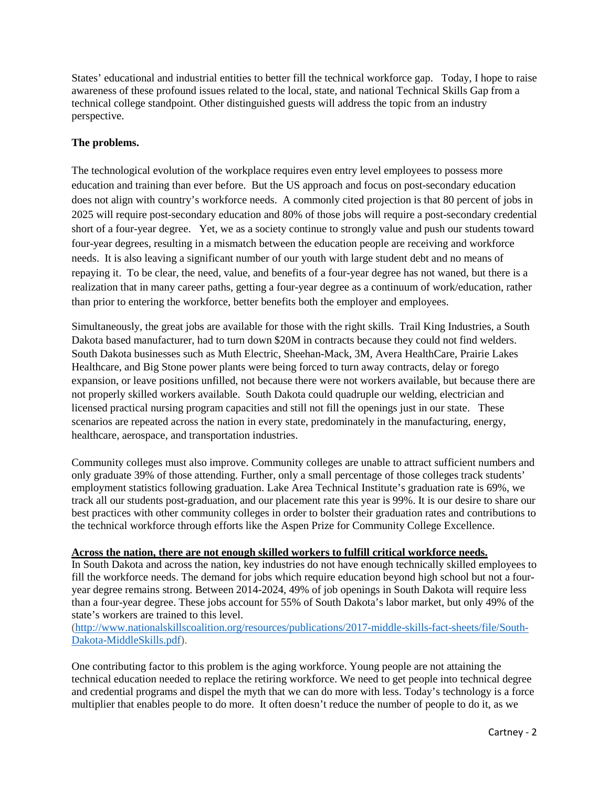States' educational and industrial entities to better fill the technical workforce gap. Today, I hope to raise awareness of these profound issues related to the local, state, and national Technical Skills Gap from a technical college standpoint. Other distinguished guests will address the topic from an industry perspective.

# **The problems.**

The technological evolution of the workplace requires even entry level employees to possess more education and training than ever before. But the US approach and focus on post-secondary education does not align with country's workforce needs. A commonly cited projection is that 80 percent of jobs in 2025 will require post-secondary education and 80% of those jobs will require a post-secondary credential short of a four-year degree. Yet, we as a society continue to strongly value and push our students toward four-year degrees, resulting in a mismatch between the education people are receiving and workforce needs. It is also leaving a significant number of our youth with large student debt and no means of repaying it. To be clear, the need, value, and benefits of a four-year degree has not waned, but there is a realization that in many career paths, getting a four-year degree as a continuum of work/education, rather than prior to entering the workforce, better benefits both the employer and employees.

Simultaneously, the great jobs are available for those with the right skills. Trail King Industries, a South Dakota based manufacturer, had to turn down \$20M in contracts because they could not find welders. South Dakota businesses such as Muth Electric, Sheehan-Mack, 3M, Avera HealthCare, Prairie Lakes Healthcare, and Big Stone power plants were being forced to turn away contracts, delay or forego expansion, or leave positions unfilled, not because there were not workers available, but because there are not properly skilled workers available. South Dakota could quadruple our welding, electrician and licensed practical nursing program capacities and still not fill the openings just in our state. These scenarios are repeated across the nation in every state, predominately in the manufacturing, energy, healthcare, aerospace, and transportation industries.

Community colleges must also improve. Community colleges are unable to attract sufficient numbers and only graduate 39% of those attending. Further, only a small percentage of those colleges track students' employment statistics following graduation. Lake Area Technical Institute's graduation rate is 69%, we track all our students post-graduation, and our placement rate this year is 99%. It is our desire to share our best practices with other community colleges in order to bolster their graduation rates and contributions to the technical workforce through efforts like the Aspen Prize for Community College Excellence.

# **Across the nation, there are not enough skilled workers to fulfill critical workforce needs.**

In South Dakota and across the nation, key industries do not have enough technically skilled employees to fill the workforce needs. The demand for jobs which require education beyond high school but not a fouryear degree remains strong. Between 2014-2024, 49% of job openings in South Dakota will require less than a four-year degree. These jobs account for 55% of South Dakota's labor market, but only 49% of the state's workers are trained to this level.

## [\(http://www.nationalskillscoalition.org/resources/publications/2017-middle-skills-fact-sheets/file/South-](http://www.nationalskillscoalition.org/resources/publications/2017-middle-skills-fact-sheets/file/South-Dakota-MiddleSkills.pdf)[Dakota-MiddleSkills.pdf\)](http://www.nationalskillscoalition.org/resources/publications/2017-middle-skills-fact-sheets/file/South-Dakota-MiddleSkills.pdf).

One contributing factor to this problem is the aging workforce. Young people are not attaining the technical education needed to replace the retiring workforce. We need to get people into technical degree and credential programs and dispel the myth that we can do more with less. Today's technology is a force multiplier that enables people to do more. It often doesn't reduce the number of people to do it, as we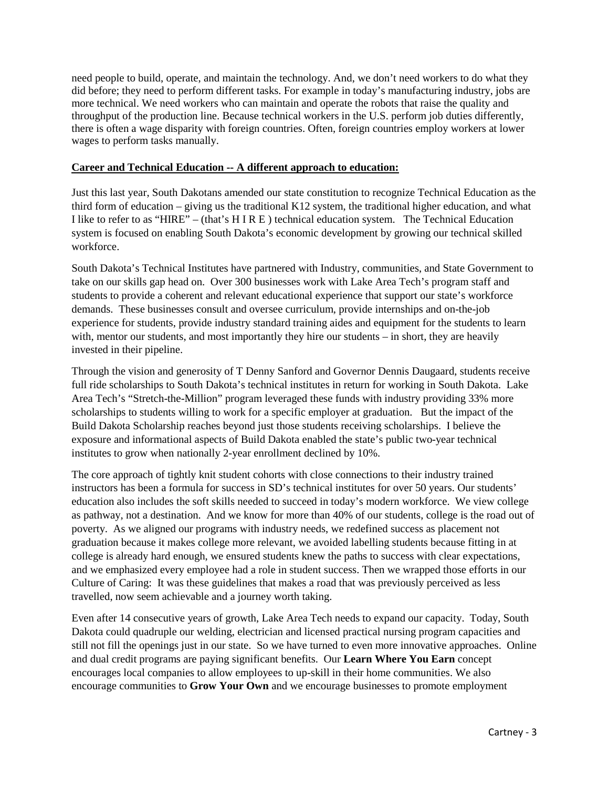need people to build, operate, and maintain the technology. And, we don't need workers to do what they did before; they need to perform different tasks. For example in today's manufacturing industry, jobs are more technical. We need workers who can maintain and operate the robots that raise the quality and throughput of the production line. Because technical workers in the U.S. perform job duties differently, there is often a wage disparity with foreign countries. Often, foreign countries employ workers at lower wages to perform tasks manually.

#### **Career and Technical Education -- A different approach to education:**

Just this last year, South Dakotans amended our state constitution to recognize Technical Education as the third form of education – giving us the traditional K12 system, the traditional higher education, and what I like to refer to as "HIRE" – (that's H I R E ) technical education system. The Technical Education system is focused on enabling South Dakota's economic development by growing our technical skilled workforce.

South Dakota's Technical Institutes have partnered with Industry, communities, and State Government to take on our skills gap head on. Over 300 businesses work with Lake Area Tech's program staff and students to provide a coherent and relevant educational experience that support our state's workforce demands. These businesses consult and oversee curriculum, provide internships and on-the-job experience for students, provide industry standard training aides and equipment for the students to learn with, mentor our students, and most importantly they hire our students – in short, they are heavily invested in their pipeline.

Through the vision and generosity of T Denny Sanford and Governor Dennis Daugaard, students receive full ride scholarships to South Dakota's technical institutes in return for working in South Dakota. Lake Area Tech's "Stretch-the-Million" program leveraged these funds with industry providing 33% more scholarships to students willing to work for a specific employer at graduation. But the impact of the Build Dakota Scholarship reaches beyond just those students receiving scholarships. I believe the exposure and informational aspects of Build Dakota enabled the state's public two-year technical institutes to grow when nationally 2-year enrollment declined by 10%.

The core approach of tightly knit student cohorts with close connections to their industry trained instructors has been a formula for success in SD's technical institutes for over 50 years. Our students' education also includes the soft skills needed to succeed in today's modern workforce. We view college as pathway, not a destination. And we know for more than 40% of our students, college is the road out of poverty. As we aligned our programs with industry needs, we redefined success as placement not graduation because it makes college more relevant, we avoided labelling students because fitting in at college is already hard enough, we ensured students knew the paths to success with clear expectations, and we emphasized every employee had a role in student success. Then we wrapped those efforts in our Culture of Caring: It was these guidelines that makes a road that was previously perceived as less travelled, now seem achievable and a journey worth taking.

Even after 14 consecutive years of growth, Lake Area Tech needs to expand our capacity. Today, South Dakota could quadruple our welding, electrician and licensed practical nursing program capacities and still not fill the openings just in our state. So we have turned to even more innovative approaches. Online and dual credit programs are paying significant benefits. Our **Learn Where You Earn** concept encourages local companies to allow employees to up-skill in their home communities. We also encourage communities to **Grow Your Own** and we encourage businesses to promote employment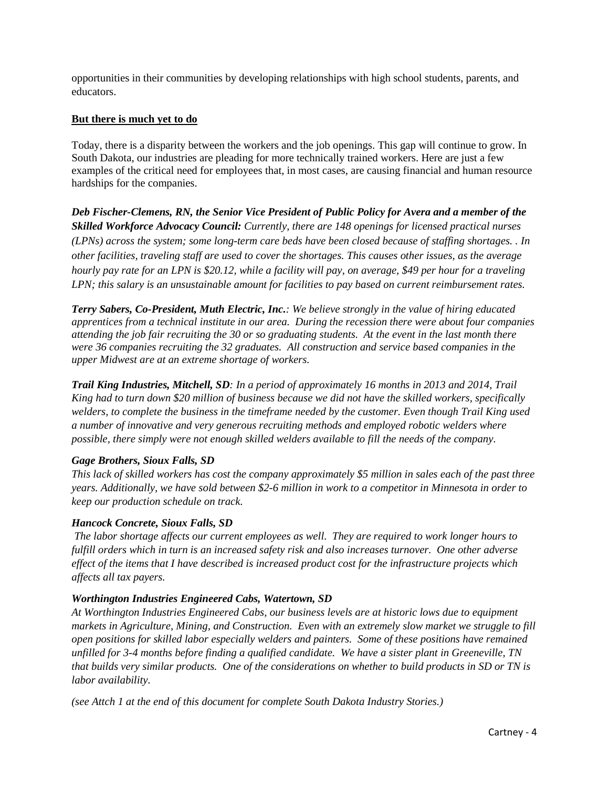opportunities in their communities by developing relationships with high school students, parents, and educators.

## **But there is much yet to do**

Today, there is a disparity between the workers and the job openings. This gap will continue to grow. In South Dakota, our industries are pleading for more technically trained workers. Here are just a few examples of the critical need for employees that, in most cases, are causing financial and human resource hardships for the companies.

*Deb Fischer-Clemens, RN, the Senior Vice President of Public Policy for Avera and a member of the Skilled Workforce Advocacy Council: Currently, there are 148 openings for licensed practical nurses (LPNs) across the system; some long-term care beds have been closed because of staffing shortages. . In other facilities, traveling staff are used to cover the shortages. This causes other issues, as the average hourly pay rate for an LPN is \$20.12, while a facility will pay, on average, \$49 per hour for a traveling LPN; this salary is an unsustainable amount for facilities to pay based on current reimbursement rates.*

*Terry Sabers, Co-President, Muth Electric, Inc.: We believe strongly in the value of hiring educated apprentices from a technical institute in our area. During the recession there were about four companies attending the job fair recruiting the 30 or so graduating students. At the event in the last month there were 36 companies recruiting the 32 graduates. All construction and service based companies in the upper Midwest are at an extreme shortage of workers.*

*Trail King Industries, Mitchell, SD: In a period of approximately 16 months in 2013 and 2014, Trail King had to turn down \$20 million of business because we did not have the skilled workers, specifically welders, to complete the business in the timeframe needed by the customer. Even though Trail King used a number of innovative and very generous recruiting methods and employed robotic welders where possible, there simply were not enough skilled welders available to fill the needs of the company.* 

# *Gage Brothers, Sioux Falls, SD*

*This lack of skilled workers has cost the company approximately \$5 million in sales each of the past three years. Additionally, we have sold between \$2-6 million in work to a competitor in Minnesota in order to keep our production schedule on track.*

# *Hancock Concrete, Sioux Falls, SD*

*The labor shortage affects our current employees as well. They are required to work longer hours to fulfill orders which in turn is an increased safety risk and also increases turnover. One other adverse effect of the items that I have described is increased product cost for the infrastructure projects which affects all tax payers.* 

#### *Worthington Industries Engineered Cabs, Watertown, SD*

*At Worthington Industries Engineered Cabs, our business levels are at historic lows due to equipment markets in Agriculture, Mining, and Construction. Even with an extremely slow market we struggle to fill open positions for skilled labor especially welders and painters. Some of these positions have remained unfilled for 3-4 months before finding a qualified candidate. We have a sister plant in Greeneville, TN that builds very similar products. One of the considerations on whether to build products in SD or TN is labor availability.*

*(see Attch 1 at the end of this document for complete South Dakota Industry Stories.)*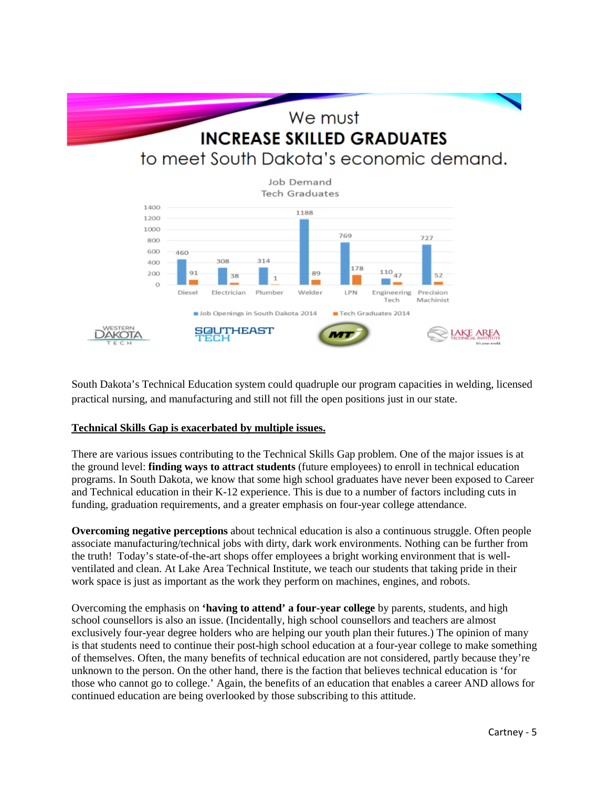

South Dakota's Technical Education system could quadruple our program capacities in welding, licensed practical nursing, and manufacturing and still not fill the open positions just in our state.

#### **Technical Skills Gap is exacerbated by multiple issues.**

There are various issues contributing to the Technical Skills Gap problem. One of the major issues is at the ground level: **finding ways to attract students** (future employees) to enroll in technical education programs. In South Dakota, we know that some high school graduates have never been exposed to Career and Technical education in their K-12 experience. This is due to a number of factors including cuts in funding, graduation requirements, and a greater emphasis on four-year college attendance.

**Overcoming negative perceptions** about technical education is also a continuous struggle. Often people associate manufacturing/technical jobs with dirty, dark work environments. Nothing can be further from the truth! Today's state-of-the-art shops offer employees a bright working environment that is wellventilated and clean. At Lake Area Technical Institute, we teach our students that taking pride in their work space is just as important as the work they perform on machines, engines, and robots.

Overcoming the emphasis on **'having to attend' a four-year college** by parents, students, and high school counsellors is also an issue. (Incidentally, high school counsellors and teachers are almost exclusively four-year degree holders who are helping our youth plan their futures.) The opinion of many is that students need to continue their post-high school education at a four-year college to make something of themselves. Often, the many benefits of technical education are not considered, partly because they're unknown to the person. On the other hand, there is the faction that believes technical education is 'for those who cannot go to college.' Again, the benefits of an education that enables a career AND allows for continued education are being overlooked by those subscribing to this attitude.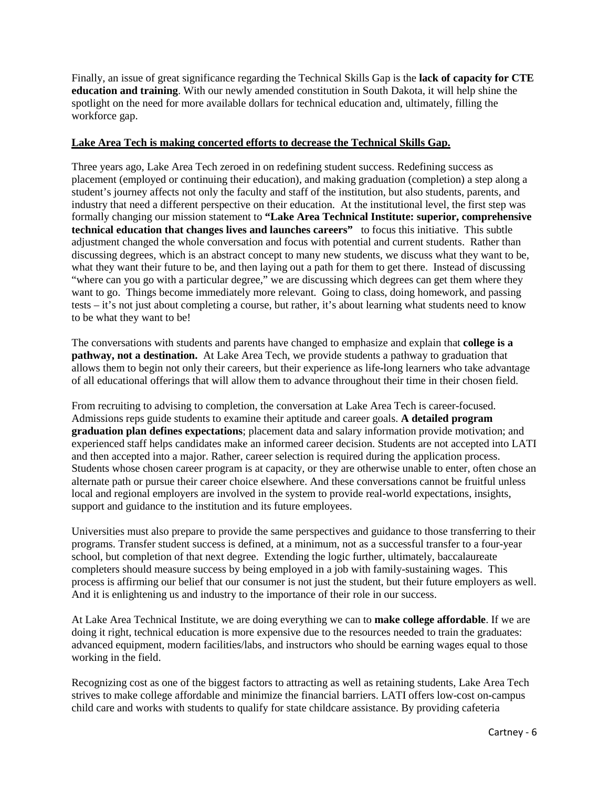Finally, an issue of great significance regarding the Technical Skills Gap is the **lack of capacity for CTE education and training**. With our newly amended constitution in South Dakota, it will help shine the spotlight on the need for more available dollars for technical education and, ultimately, filling the workforce gap.

#### **Lake Area Tech is making concerted efforts to decrease the Technical Skills Gap.**

Three years ago, Lake Area Tech zeroed in on redefining student success. Redefining success as placement (employed or continuing their education), and making graduation (completion) a step along a student's journey affects not only the faculty and staff of the institution, but also students, parents, and industry that need a different perspective on their education. At the institutional level, the first step was formally changing our mission statement to **"Lake Area Technical Institute: superior, comprehensive technical education that changes lives and launches careers"** to focus this initiative. This subtle adjustment changed the whole conversation and focus with potential and current students. Rather than discussing degrees, which is an abstract concept to many new students, we discuss what they want to be, what they want their future to be, and then laying out a path for them to get there. Instead of discussing "where can you go with a particular degree," we are discussing which degrees can get them where they want to go. Things become immediately more relevant. Going to class, doing homework, and passing tests – it's not just about completing a course, but rather, it's about learning what students need to know to be what they want to be!

The conversations with students and parents have changed to emphasize and explain that **college is a pathway, not a destination.** At Lake Area Tech, we provide students a pathway to graduation that allows them to begin not only their careers, but their experience as life-long learners who take advantage of all educational offerings that will allow them to advance throughout their time in their chosen field.

From recruiting to advising to completion, the conversation at Lake Area Tech is career-focused. Admissions reps guide students to examine their aptitude and career goals. **A detailed program graduation plan defines expectations**; placement data and salary information provide motivation; and experienced staff helps candidates make an informed career decision. Students are not accepted into LATI and then accepted into a major. Rather, career selection is required during the application process. Students whose chosen career program is at capacity, or they are otherwise unable to enter, often chose an alternate path or pursue their career choice elsewhere. And these conversations cannot be fruitful unless local and regional employers are involved in the system to provide real-world expectations, insights, support and guidance to the institution and its future employees.

Universities must also prepare to provide the same perspectives and guidance to those transferring to their programs. Transfer student success is defined, at a minimum, not as a successful transfer to a four-year school, but completion of that next degree. Extending the logic further, ultimately, baccalaureate completers should measure success by being employed in a job with family-sustaining wages. This process is affirming our belief that our consumer is not just the student, but their future employers as well. And it is enlightening us and industry to the importance of their role in our success.

At Lake Area Technical Institute, we are doing everything we can to **make college affordable**. If we are doing it right, technical education is more expensive due to the resources needed to train the graduates: advanced equipment, modern facilities/labs, and instructors who should be earning wages equal to those working in the field.

Recognizing cost as one of the biggest factors to attracting as well as retaining students, Lake Area Tech strives to make college affordable and minimize the financial barriers. LATI offers low-cost on-campus child care and works with students to qualify for state childcare assistance. By providing cafeteria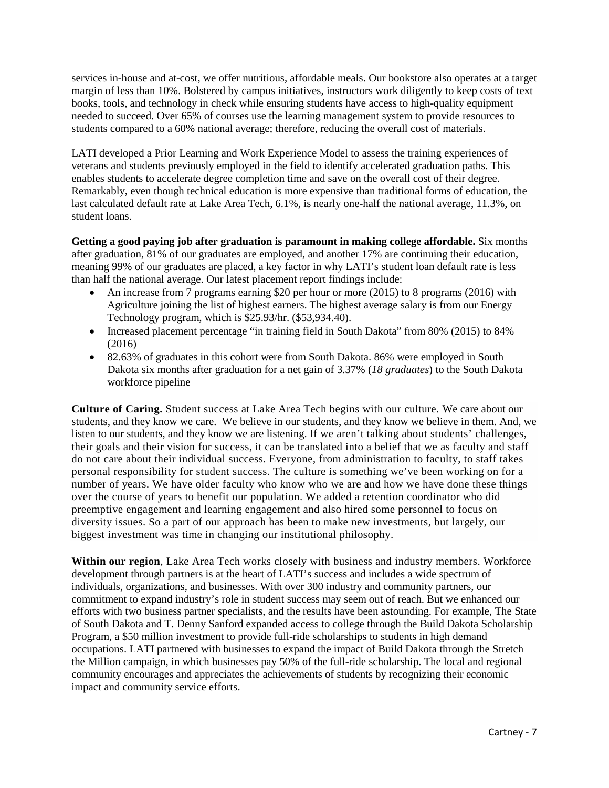services in-house and at-cost, we offer nutritious, affordable meals. Our bookstore also operates at a target margin of less than 10%. Bolstered by campus initiatives, instructors work diligently to keep costs of text books, tools, and technology in check while ensuring students have access to high-quality equipment needed to succeed. Over 65% of courses use the learning management system to provide resources to students compared to a 60% national average; therefore, reducing the overall cost of materials.

LATI developed a Prior Learning and Work Experience Model to assess the training experiences of veterans and students previously employed in the field to identify accelerated graduation paths. This enables students to accelerate degree completion time and save on the overall cost of their degree. Remarkably, even though technical education is more expensive than traditional forms of education, the last calculated default rate at Lake Area Tech, 6.1%, is nearly one-half the national average, 11.3%, on student loans.

**Getting a good paying job after graduation is paramount in making college affordable.** Six months after graduation, 81% of our graduates are employed, and another 17% are continuing their education, meaning 99% of our graduates are placed, a key factor in why LATI's student loan default rate is less than half the national average. Our latest placement report findings include:

- An increase from 7 programs earning \$20 per hour or more (2015) to 8 programs (2016) with Agriculture joining the list of highest earners. The highest average salary is from our Energy Technology program, which is \$25.93/hr. (\$53,934.40).
- Increased placement percentage "in training field in South Dakota" from 80% (2015) to 84% (2016)
- 82.63% of graduates in this cohort were from South Dakota. 86% were employed in South Dakota six months after graduation for a net gain of 3.37% (*18 graduates*) to the South Dakota workforce pipeline

**Culture of Caring.** Student success at Lake Area Tech begins with our culture. We care about our students, and they know we care. We believe in our students, and they know we believe in them. And, we listen to our students, and they know we are listening. If we aren't talking about students' challenges, their goals and their vision for success, it can be translated into a belief that we as faculty and staff do not care about their individual success. Everyone, from administration to faculty, to staff takes personal responsibility for student success. The culture is something we've been working on for a number of years. We have older faculty who know who we are and how we have done these things over the course of years to benefit our population. We added a retention coordinator who did preemptive engagement and learning engagement and also hired some personnel to focus on diversity issues. So a part of our approach has been to make new investments, but largely, our biggest investment was time in changing our institutional philosophy.

**Within our region**, Lake Area Tech works closely with business and industry members. Workforce development through partners is at the heart of LATI's success and includes a wide spectrum of individuals, organizations, and businesses. With over 300 industry and community partners, our commitment to expand industry's role in student success may seem out of reach. But we enhanced our efforts with two business partner specialists, and the results have been astounding. For example, The State of South Dakota and T. Denny Sanford expanded access to college through the Build Dakota Scholarship Program, a \$50 million investment to provide full-ride scholarships to students in high demand occupations. LATI partnered with businesses to expand the impact of Build Dakota through the Stretch the Million campaign, in which businesses pay 50% of the full-ride scholarship. The local and regional community encourages and appreciates the achievements of students by recognizing their economic impact and community service efforts.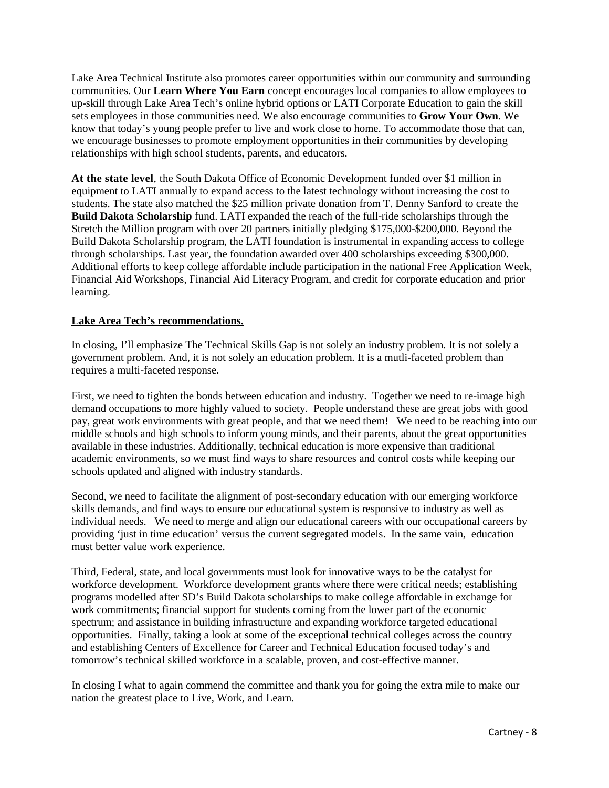Lake Area Technical Institute also promotes career opportunities within our community and surrounding communities. Our **Learn Where You Earn** concept encourages local companies to allow employees to up-skill through Lake Area Tech's online hybrid options or LATI Corporate Education to gain the skill sets employees in those communities need. We also encourage communities to **Grow Your Own**. We know that today's young people prefer to live and work close to home. To accommodate those that can, we encourage businesses to promote employment opportunities in their communities by developing relationships with high school students, parents, and educators.

**At the state level**, the South Dakota Office of Economic Development funded over \$1 million in equipment to LATI annually to expand access to the latest technology without increasing the cost to students. The state also matched the \$25 million private donation from T. Denny Sanford to create the **Build Dakota Scholarship** fund. LATI expanded the reach of the full-ride scholarships through the Stretch the Million program with over 20 partners initially pledging \$175,000-\$200,000. Beyond the Build Dakota Scholarship program, the LATI foundation is instrumental in expanding access to college through scholarships. Last year, the foundation awarded over 400 scholarships exceeding \$300,000. Additional efforts to keep college affordable include participation in the national Free Application Week, Financial Aid Workshops, Financial Aid Literacy Program, and credit for corporate education and prior learning.

## **Lake Area Tech's recommendations.**

In closing, I'll emphasize The Technical Skills Gap is not solely an industry problem. It is not solely a government problem. And, it is not solely an education problem. It is a mutli-faceted problem than requires a multi-faceted response.

First, we need to tighten the bonds between education and industry. Together we need to re-image high demand occupations to more highly valued to society. People understand these are great jobs with good pay, great work environments with great people, and that we need them! We need to be reaching into our middle schools and high schools to inform young minds, and their parents, about the great opportunities available in these industries. Additionally, technical education is more expensive than traditional academic environments, so we must find ways to share resources and control costs while keeping our schools updated and aligned with industry standards.

Second, we need to facilitate the alignment of post-secondary education with our emerging workforce skills demands, and find ways to ensure our educational system is responsive to industry as well as individual needs. We need to merge and align our educational careers with our occupational careers by providing 'just in time education' versus the current segregated models. In the same vain, education must better value work experience.

Third, Federal, state, and local governments must look for innovative ways to be the catalyst for workforce development. Workforce development grants where there were critical needs; establishing programs modelled after SD's Build Dakota scholarships to make college affordable in exchange for work commitments; financial support for students coming from the lower part of the economic spectrum; and assistance in building infrastructure and expanding workforce targeted educational opportunities. Finally, taking a look at some of the exceptional technical colleges across the country and establishing Centers of Excellence for Career and Technical Education focused today's and tomorrow's technical skilled workforce in a scalable, proven, and cost-effective manner.

In closing I what to again commend the committee and thank you for going the extra mile to make our nation the greatest place to Live, Work, and Learn.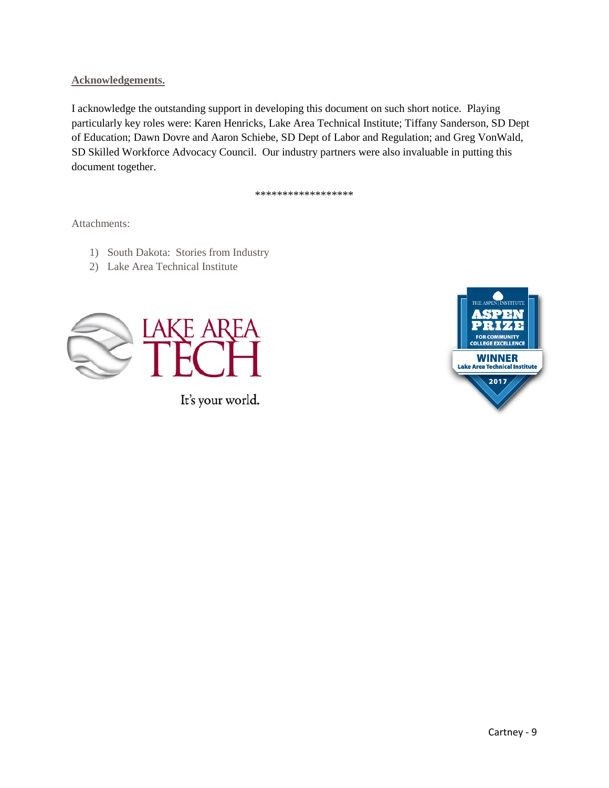## **Acknowledgements.**

I acknowledge the outstanding support in developing this document on such short notice. Playing particularly key roles were: Karen Henricks, Lake Area Technical Institute; Tiffany Sanderson, SD Dept of Education; Dawn Dovre and Aaron Schiebe, SD Dept of Labor and Regulation; and Greg VonWald, SD Skilled Workforce Advocacy Council. Our industry partners were also invaluable in putting this document together.

\*\*\*\*\*\*\*\*\*\*\*\*\*\*\*\*\*\*

Attachments:

- 1) South Dakota: Stories from Industry
- 2) Lake Area Technical Institute



It's your world.

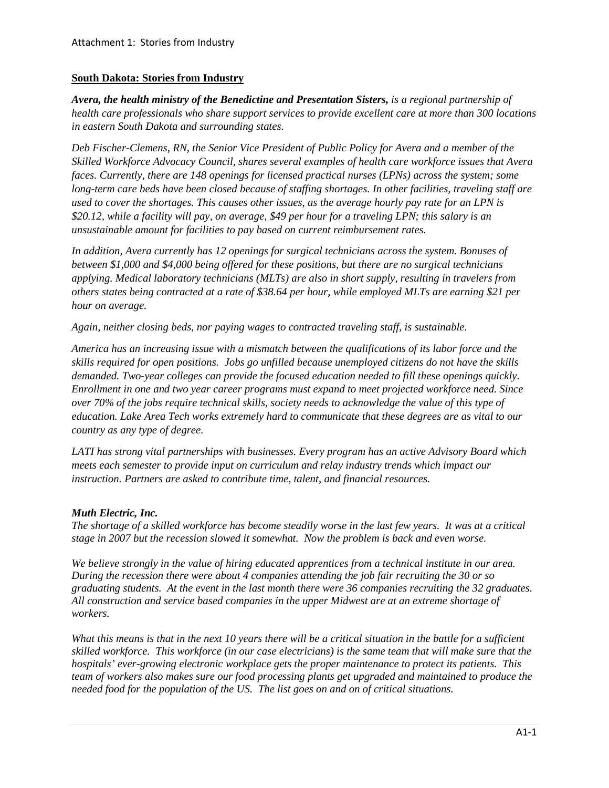## **South Dakota: Stories from Industry**

*Avera, the health ministry of the Benedictine and Presentation Sisters, is a regional partnership of health care professionals who share support services to provide excellent care at more than 300 locations in eastern South Dakota and surrounding states.* 

*Deb Fischer-Clemens, RN, the Senior Vice President of Public Policy for Avera and a member of the Skilled Workforce Advocacy Council, shares several examples of health care workforce issues that Avera faces. Currently, there are 148 openings for licensed practical nurses (LPNs) across the system; some long-term care beds have been closed because of staffing shortages. In other facilities, traveling staff are used to cover the shortages. This causes other issues, as the average hourly pay rate for an LPN is \$20.12, while a facility will pay, on average, \$49 per hour for a traveling LPN; this salary is an unsustainable amount for facilities to pay based on current reimbursement rates.* 

*In addition, Avera currently has 12 openings for surgical technicians across the system. Bonuses of between \$1,000 and \$4,000 being offered for these positions, but there are no surgical technicians applying. Medical laboratory technicians (MLTs) are also in short supply, resulting in travelers from others states being contracted at a rate of \$38.64 per hour, while employed MLTs are earning \$21 per hour on average.* 

*Again, neither closing beds, nor paying wages to contracted traveling staff, is sustainable.* 

*America has an increasing issue with a mismatch between the qualifications of its labor force and the skills required for open positions. Jobs go unfilled because unemployed citizens do not have the skills demanded. Two-year colleges can provide the focused education needed to fill these openings quickly. Enrollment in one and two year career programs must expand to meet projected workforce need. Since over 70% of the jobs require technical skills, society needs to acknowledge the value of this type of education. Lake Area Tech works extremely hard to communicate that these degrees are as vital to our country as any type of degree.*

*LATI has strong vital partnerships with businesses. Every program has an active Advisory Board which meets each semester to provide input on curriculum and relay industry trends which impact our instruction. Partners are asked to contribute time, talent, and financial resources.* 

# *Muth Electric, Inc.*

*The shortage of a skilled workforce has become steadily worse in the last few years. It was at a critical stage in 2007 but the recession slowed it somewhat. Now the problem is back and even worse.*

*We believe strongly in the value of hiring educated apprentices from a technical institute in our area. During the recession there were about 4 companies attending the job fair recruiting the 30 or so graduating students. At the event in the last month there were 36 companies recruiting the 32 graduates. All construction and service based companies in the upper Midwest are at an extreme shortage of workers.*

*What this means is that in the next 10 years there will be a critical situation in the battle for a sufficient skilled workforce. This workforce (in our case electricians) is the same team that will make sure that the hospitals' ever-growing electronic workplace gets the proper maintenance to protect its patients. This team of workers also makes sure our food processing plants get upgraded and maintained to produce the needed food for the population of the US. The list goes on and on of critical situations.*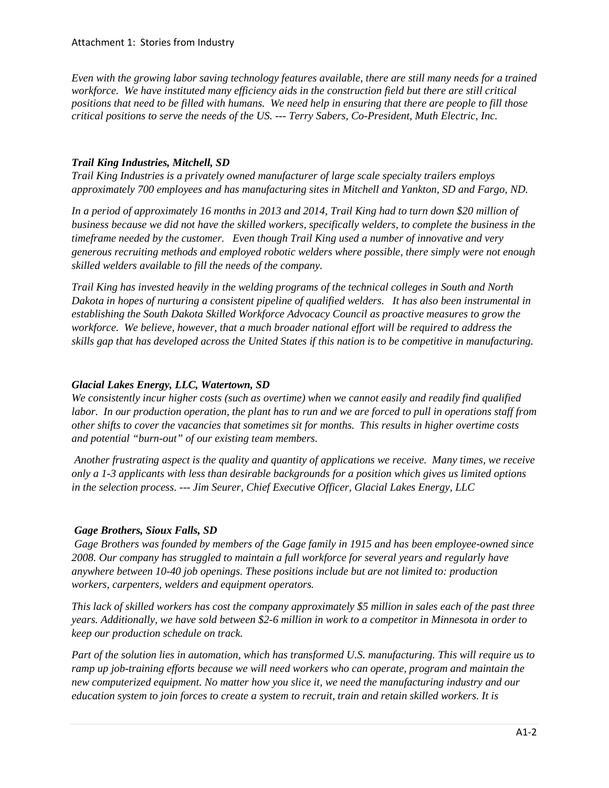#### Attachment 1: Stories from Industry

*Even with the growing labor saving technology features available, there are still many needs for a trained workforce. We have instituted many efficiency aids in the construction field but there are still critical positions that need to be filled with humans. We need help in ensuring that there are people to fill those critical positions to serve the needs of the US. --- Terry Sabers, Co-President, Muth Electric, Inc.* 

## *Trail King Industries, Mitchell, SD*

*Trail King Industries is a privately owned manufacturer of large scale specialty trailers employs approximately 700 employees and has manufacturing sites in Mitchell and Yankton, SD and Fargo, ND.*

*In a period of approximately 16 months in 2013 and 2014, Trail King had to turn down \$20 million of business because we did not have the skilled workers, specifically welders, to complete the business in the timeframe needed by the customer. Even though Trail King used a number of innovative and very generous recruiting methods and employed robotic welders where possible, there simply were not enough skilled welders available to fill the needs of the company.* 

*Trail King has invested heavily in the welding programs of the technical colleges in South and North Dakota in hopes of nurturing a consistent pipeline of qualified welders. It has also been instrumental in establishing the South Dakota Skilled Workforce Advocacy Council as proactive measures to grow the workforce. We believe, however, that a much broader national effort will be required to address the skills gap that has developed across the United States if this nation is to be competitive in manufacturing.*

## *Glacial Lakes Energy, LLC, Watertown, SD*

*We consistently incur higher costs (such as overtime) when we cannot easily and readily find qualified labor. In our production operation, the plant has to run and we are forced to pull in operations staff from other shifts to cover the vacancies that sometimes sit for months. This results in higher overtime costs and potential "burn-out" of our existing team members.*

*Another frustrating aspect is the quality and quantity of applications we receive. Many times, we receive only a 1-3 applicants with less than desirable backgrounds for a position which gives us limited options in the selection process. --- Jim Seurer, Chief Executive Officer, Glacial Lakes Energy, LLC*

# *Gage Brothers, Sioux Falls, SD*

*Gage Brothers was founded by members of the Gage family in 1915 and has been employee-owned since 2008. Our company has struggled to maintain a full workforce for several years and regularly have anywhere between 10-40 job openings. These positions include but are not limited to: production workers, carpenters, welders and equipment operators.*

*This lack of skilled workers has cost the company approximately \$5 million in sales each of the past three years. Additionally, we have sold between \$2-6 million in work to a competitor in Minnesota in order to keep our production schedule on track.*

*Part of the solution lies in automation, which has transformed U.S. manufacturing. This will require us to ramp up job-training efforts because we will need workers who can operate, program and maintain the new computerized equipment. No matter how you slice it, we need the manufacturing industry and our education system to join forces to create a system to recruit, train and retain skilled workers. It is*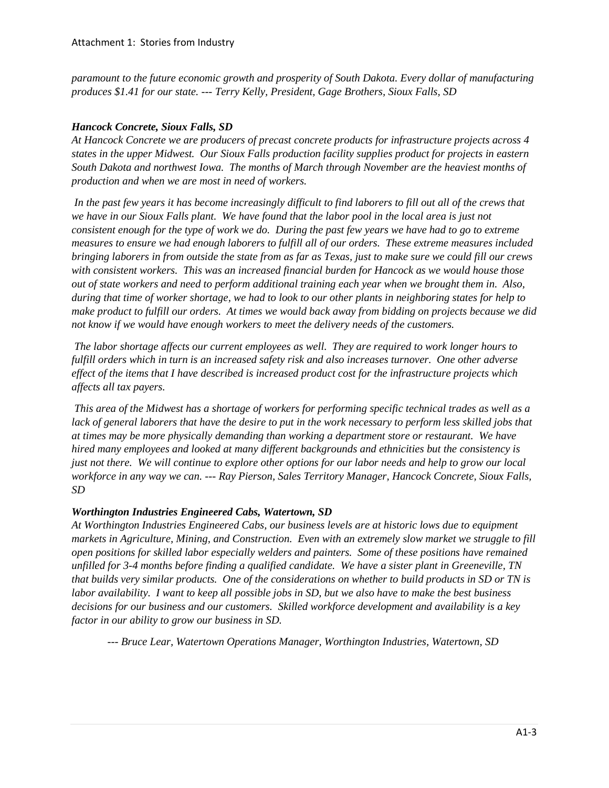*paramount to the future economic growth and prosperity of South Dakota. Every dollar of manufacturing produces \$1.41 for our state. --- Terry Kelly, President, Gage Brothers, Sioux Falls, SD*

# *Hancock Concrete, Sioux Falls, SD*

*At Hancock Concrete we are producers of precast concrete products for infrastructure projects across 4 states in the upper Midwest. Our Sioux Falls production facility supplies product for projects in eastern South Dakota and northwest Iowa. The months of March through November are the heaviest months of production and when we are most in need of workers.*

*In the past few years it has become increasingly difficult to find laborers to fill out all of the crews that we have in our Sioux Falls plant. We have found that the labor pool in the local area is just not consistent enough for the type of work we do. During the past few years we have had to go to extreme measures to ensure we had enough laborers to fulfill all of our orders. These extreme measures included bringing laborers in from outside the state from as far as Texas, just to make sure we could fill our crews with consistent workers. This was an increased financial burden for Hancock as we would house those out of state workers and need to perform additional training each year when we brought them in. Also, during that time of worker shortage, we had to look to our other plants in neighboring states for help to make product to fulfill our orders. At times we would back away from bidding on projects because we did not know if we would have enough workers to meet the delivery needs of the customers.*

*The labor shortage affects our current employees as well. They are required to work longer hours to fulfill orders which in turn is an increased safety risk and also increases turnover. One other adverse effect of the items that I have described is increased product cost for the infrastructure projects which affects all tax payers.* 

*This area of the Midwest has a shortage of workers for performing specific technical trades as well as a lack of general laborers that have the desire to put in the work necessary to perform less skilled jobs that at times may be more physically demanding than working a department store or restaurant. We have hired many employees and looked at many different backgrounds and ethnicities but the consistency is just not there. We will continue to explore other options for our labor needs and help to grow our local workforce in any way we can. --- Ray Pierson, Sales Territory Manager, Hancock Concrete, Sioux Falls, SD* 

# *Worthington Industries Engineered Cabs, Watertown, SD*

*At Worthington Industries Engineered Cabs, our business levels are at historic lows due to equipment markets in Agriculture, Mining, and Construction. Even with an extremely slow market we struggle to fill open positions for skilled labor especially welders and painters. Some of these positions have remained unfilled for 3-4 months before finding a qualified candidate. We have a sister plant in Greeneville, TN that builds very similar products. One of the considerations on whether to build products in SD or TN is labor availability. I want to keep all possible jobs in SD, but we also have to make the best business decisions for our business and our customers. Skilled workforce development and availability is a key factor in our ability to grow our business in SD.*

*--- Bruce Lear, Watertown Operations Manager, Worthington Industries, Watertown, SD*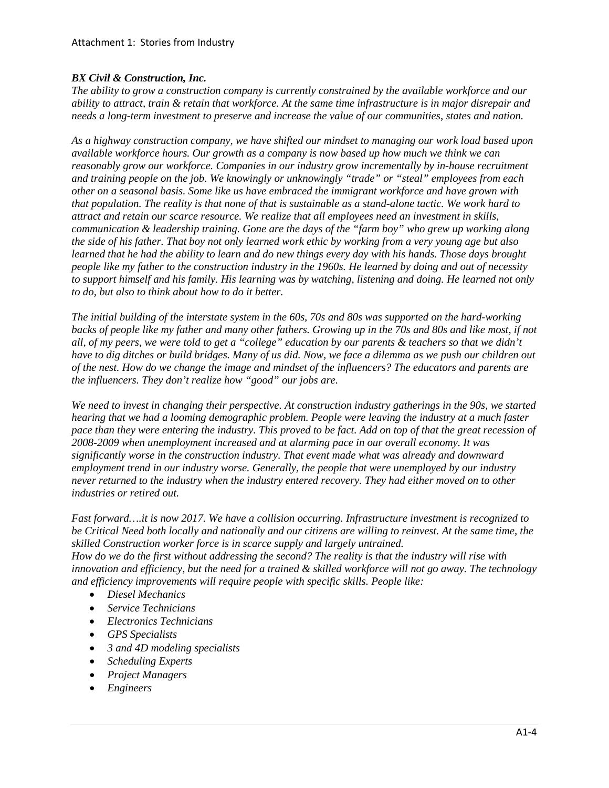## *BX Civil & Construction, Inc.*

*The ability to grow a construction company is currently constrained by the available workforce and our ability to attract, train & retain that workforce. At the same time infrastructure is in major disrepair and needs a long-term investment to preserve and increase the value of our communities, states and nation.*

*As a highway construction company, we have shifted our mindset to managing our work load based upon available workforce hours. Our growth as a company is now based up how much we think we can reasonably grow our workforce. Companies in our industry grow incrementally by in-house recruitment and training people on the job. We knowingly or unknowingly "trade" or "steal" employees from each other on a seasonal basis. Some like us have embraced the immigrant workforce and have grown with that population. The reality is that none of that is sustainable as a stand-alone tactic. We work hard to attract and retain our scarce resource. We realize that all employees need an investment in skills, communication & leadership training. Gone are the days of the "farm boy" who grew up working along the side of his father. That boy not only learned work ethic by working from a very young age but also learned that he had the ability to learn and do new things every day with his hands. Those days brought people like my father to the construction industry in the 1960s. He learned by doing and out of necessity to support himself and his family. His learning was by watching, listening and doing. He learned not only to do, but also to think about how to do it better.* 

*The initial building of the interstate system in the 60s, 70s and 80s was supported on the hard-working backs of people like my father and many other fathers. Growing up in the 70s and 80s and like most, if not all, of my peers, we were told to get a "college" education by our parents & teachers so that we didn't have to dig ditches or build bridges. Many of us did. Now, we face a dilemma as we push our children out of the nest. How do we change the image and mindset of the influencers? The educators and parents are the influencers. They don't realize how "good" our jobs are.*

*We need to invest in changing their perspective. At construction industry gatherings in the 90s, we started hearing that we had a looming demographic problem. People were leaving the industry at a much faster pace than they were entering the industry. This proved to be fact. Add on top of that the great recession of 2008-2009 when unemployment increased and at alarming pace in our overall economy. It was significantly worse in the construction industry. That event made what was already and downward employment trend in our industry worse. Generally, the people that were unemployed by our industry never returned to the industry when the industry entered recovery. They had either moved on to other industries or retired out.* 

*Fast forward….it is now 2017. We have a collision occurring. Infrastructure investment is recognized to be Critical Need both locally and nationally and our citizens are willing to reinvest. At the same time, the skilled Construction worker force is in scarce supply and largely untrained. How do we do the first without addressing the second? The reality is that the industry will rise with innovation and efficiency, but the need for a trained & skilled workforce will not go away. The technology and efficiency improvements will require people with specific skills. People like:*

- *Diesel Mechanics*
- *Service Technicians*
- *Electronics Technicians*
- *GPS Specialists*
- *3 and 4D modeling specialists*
- *Scheduling Experts*
- *Project Managers*
- *Engineers*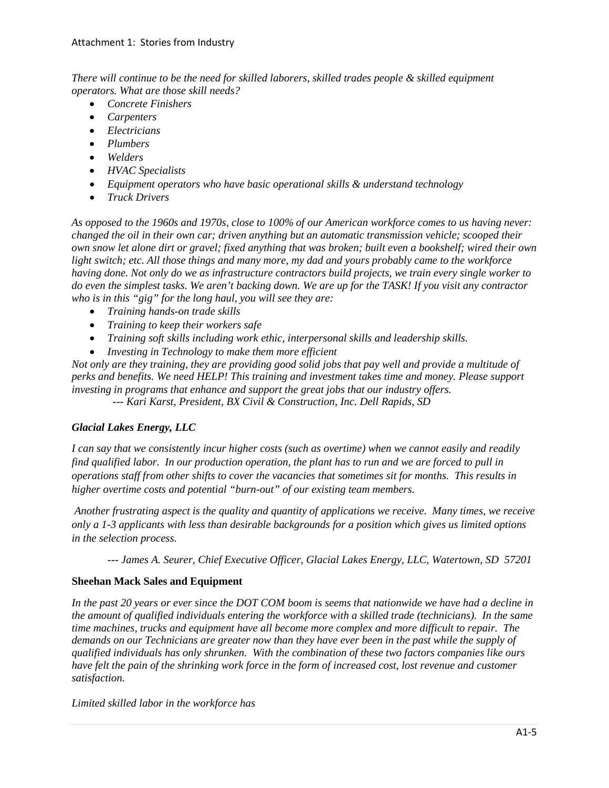*There will continue to be the need for skilled laborers, skilled trades people & skilled equipment operators. What are those skill needs?*

- *Concrete Finishers*
- *Carpenters*
- *Electricians*
- *Plumbers*
- *Welders*
- *HVAC Specialists*
- *Equipment operators who have basic operational skills & understand technology*
- *Truck Drivers*

*As opposed to the 1960s and 1970s, close to 100% of our American workforce comes to us having never: changed the oil in their own car; driven anything but an automatic transmission vehicle; scooped their own snow let alone dirt or gravel; fixed anything that was broken; built even a bookshelf; wired their own light switch; etc. All those things and many more, my dad and yours probably came to the workforce having done. Not only do we as infrastructure contractors build projects, we train every single worker to do even the simplest tasks. We aren't backing down. We are up for the TASK! If you visit any contractor who is in this "gig" for the long haul, you will see they are:*

- *Training hands-on trade skills*
- *Training to keep their workers safe*
- *Training soft skills including work ethic, interpersonal skills and leadership skills.*
- *Investing in Technology to make them more efficient*

*Not only are they training, they are providing good solid jobs that pay well and provide a multitude of perks and benefits. We need HELP! This training and investment takes time and money. Please support investing in programs that enhance and support the great jobs that our industry offers. --- Kari Karst, President, BX Civil & Construction, Inc. Dell Rapids, SD*

# *Glacial Lakes Energy, LLC*

*I can say that we consistently incur higher costs (such as overtime) when we cannot easily and readily find qualified labor. In our production operation, the plant has to run and we are forced to pull in operations staff from other shifts to cover the vacancies that sometimes sit for months. This results in higher overtime costs and potential "burn-out" of our existing team members.*

*Another frustrating aspect is the quality and quantity of applications we receive. Many times, we receive only a 1-3 applicants with less than desirable backgrounds for a position which gives us limited options in the selection process.*

*--- James A. Seurer, Chief Executive Officer, Glacial Lakes Energy, LLC, Watertown, SD 57201*

# **Sheehan Mack Sales and Equipment**

*In the past 20 years or ever since the DOT COM boom is seems that nationwide we have had a decline in the amount of qualified individuals entering the workforce with a skilled trade (technicians). In the same time machines, trucks and equipment have all become more complex and more difficult to repair. The demands on our Technicians are greater now than they have ever been in the past while the supply of qualified individuals has only shrunken. With the combination of these two factors companies like ours have felt the pain of the shrinking work force in the form of increased cost, lost revenue and customer satisfaction.*

*Limited skilled labor in the workforce has*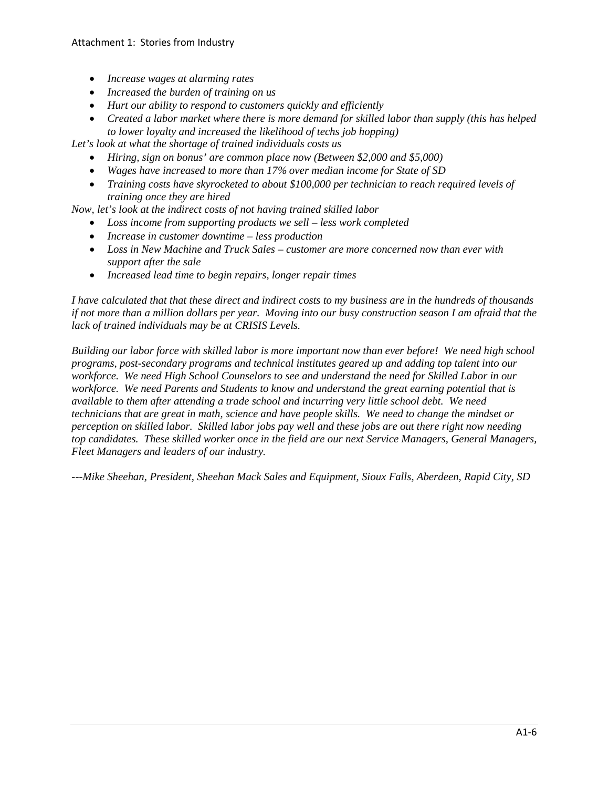## Attachment 1: Stories from Industry

- *Increase wages at alarming rates*
- *Increased the burden of training on us*
- *Hurt our ability to respond to customers quickly and efficiently*
- *Created a labor market where there is more demand for skilled labor than supply (this has helped to lower loyalty and increased the likelihood of techs job hopping)*

*Let's look at what the shortage of trained individuals costs us*

- *Hiring, sign on bonus' are common place now (Between \$2,000 and \$5,000)*
- *Wages have increased to more than 17% over median income for State of SD*
- *Training costs have skyrocketed to about \$100,000 per technician to reach required levels of training once they are hired*

*Now, let's look at the indirect costs of not having trained skilled labor*

- *Loss income from supporting products we sell – less work completed*
- *Increase in customer downtime – less production*
- *Loss in New Machine and Truck Sales – customer are more concerned now than ever with support after the sale*
- *Increased lead time to begin repairs, longer repair times*

*I have calculated that that these direct and indirect costs to my business are in the hundreds of thousands if not more than a million dollars per year. Moving into our busy construction season I am afraid that the lack of trained individuals may be at CRISIS Levels.*

*Building our labor force with skilled labor is more important now than ever before! We need high school programs, post-secondary programs and technical institutes geared up and adding top talent into our workforce. We need High School Counselors to see and understand the need for Skilled Labor in our workforce. We need Parents and Students to know and understand the great earning potential that is available to them after attending a trade school and incurring very little school debt. We need technicians that are great in math, science and have people skills. We need to change the mindset or perception on skilled labor. Skilled labor jobs pay well and these jobs are out there right now needing top candidates. These skilled worker once in the field are our next Service Managers, General Managers, Fleet Managers and leaders of our industry.*

*---Mike Sheehan, President, Sheehan Mack Sales and Equipment, Sioux Falls, Aberdeen, Rapid City, SD*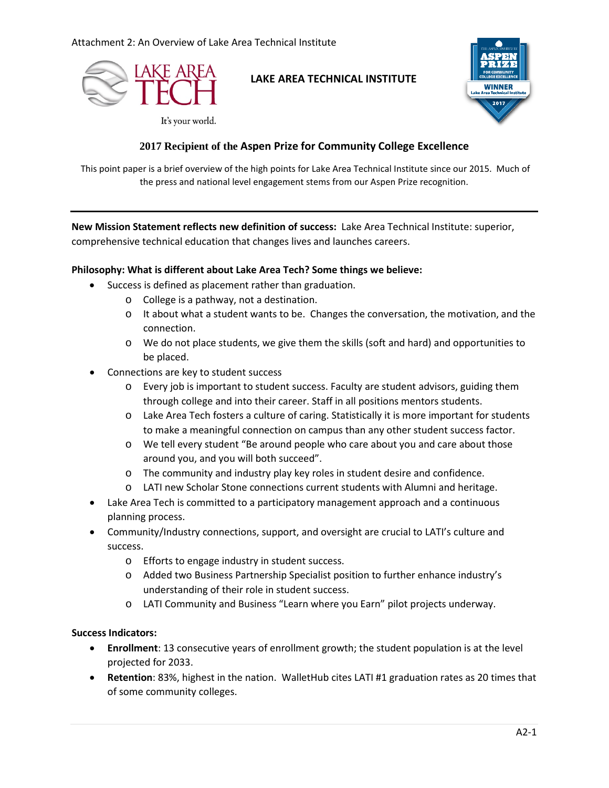

# **LAKE AREA TECHNICAL INSTITUTE**



## It's your world.

# **2017 Recipient of the Aspen Prize for Community College Excellence**

This point paper is a brief overview of the high points for Lake Area Technical Institute since our 2015. Much of the press and national level engagement stems from our Aspen Prize recognition.

**New Mission Statement reflects new definition of success:** Lake Area Technical Institute: superior, comprehensive technical education that changes lives and launches careers.

## **Philosophy: What is different about Lake Area Tech? Some things we believe:**

- Success is defined as placement rather than graduation.
	- o College is a pathway, not a destination.
	- $\circ$  It about what a student wants to be. Changes the conversation, the motivation, and the connection.
	- o We do not place students, we give them the skills (soft and hard) and opportunities to be placed.
- Connections are key to student success
	- o Every job is important to student success. Faculty are student advisors, guiding them through college and into their career. Staff in all positions mentors students.
	- o Lake Area Tech fosters a culture of caring. Statistically it is more important for students to make a meaningful connection on campus than any other student success factor.
	- o We tell every student "Be around people who care about you and care about those around you, and you will both succeed".
	- o The community and industry play key roles in student desire and confidence.
	- o LATI new Scholar Stone connections current students with Alumni and heritage.
- Lake Area Tech is committed to a participatory management approach and a continuous planning process.
- Community/Industry connections, support, and oversight are crucial to LATI's culture and success.
	- o Efforts to engage industry in student success.
	- o Added two Business Partnership Specialist position to further enhance industry's understanding of their role in student success.
	- o LATI Community and Business "Learn where you Earn" pilot projects underway.

#### **Success Indicators:**

- **Enrollment**: 13 consecutive years of enrollment growth; the student population is at the level projected for 2033.
- **Retention**: 83%, highest in the nation. WalletHub cites LATI #1 graduation rates as 20 times that of some community colleges.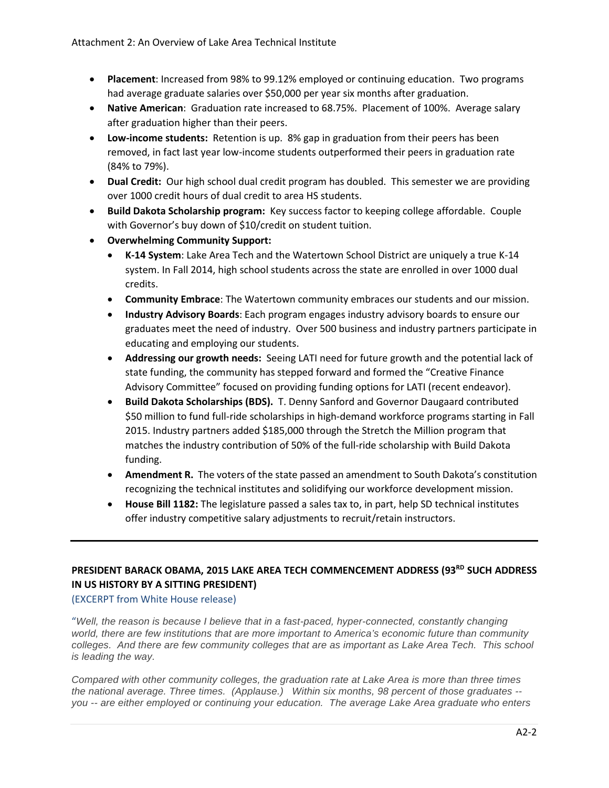- **Placement**: Increased from 98% to 99.12% employed or continuing education. Two programs had average graduate salaries over \$50,000 per year six months after graduation.
- **Native American**:Graduation rate increased to 68.75%. Placement of 100%. Average salary after graduation higher than their peers.
- **Low-income students:** Retention is up. 8% gap in graduation from their peers has been removed, in fact last year low-income students outperformed their peers in graduation rate (84% to 79%).
- **Dual Credit:** Our high school dual credit program has doubled. This semester we are providing over 1000 credit hours of dual credit to area HS students.
- **Build Dakota Scholarship program:** Key success factor to keeping college affordable. Couple with Governor's buy down of \$10/credit on student tuition.
- **Overwhelming Community Support:**
	- **K-14 System**: Lake Area Tech and the Watertown School District are uniquely a true K-14 system. In Fall 2014, high school students across the state are enrolled in over 1000 dual credits.
	- **Community Embrace**: The Watertown community embraces our students and our mission.
	- **Industry Advisory Boards**: Each program engages industry advisory boards to ensure our graduates meet the need of industry. Over 500 business and industry partners participate in educating and employing our students.
	- **Addressing our growth needs:** Seeing LATI need for future growth and the potential lack of state funding, the community has stepped forward and formed the "Creative Finance Advisory Committee" focused on providing funding options for LATI (recent endeavor).
	- **Build Dakota Scholarships (BDS).** T. Denny Sanford and Governor Daugaard contributed \$50 million to fund full-ride scholarships in high-demand workforce programs starting in Fall 2015. Industry partners added \$185,000 through the Stretch the Million program that matches the industry contribution of 50% of the full-ride scholarship with Build Dakota funding.
	- **Amendment R.** The voters of the state passed an amendment to South Dakota's constitution recognizing the technical institutes and solidifying our workforce development mission.
	- **House Bill 1182:** The legislature passed a sales tax to, in part, help SD technical institutes offer industry competitive salary adjustments to recruit/retain instructors.

# PRESIDENT BARACK OBAMA, 2015 LAKE AREA TECH COMMENCEMENT ADDRESS (93<sup>RD</sup> SUCH ADDRESS **IN US HISTORY BY A SITTING PRESIDENT)**

#### (EXCERPT from White House release)

"*Well, the reason is because I believe that in a fast-paced, hyper-connected, constantly changing world, there are few institutions that are more important to America's economic future than community colleges. And there are few community colleges that are as important as Lake Area Tech. This school is leading the way.*

*Compared with other community colleges, the graduation rate at Lake Area is more than three times the national average. Three times. (Applause.) Within six months, 98 percent of those graduates - you -- are either employed or continuing your education. The average Lake Area graduate who enters*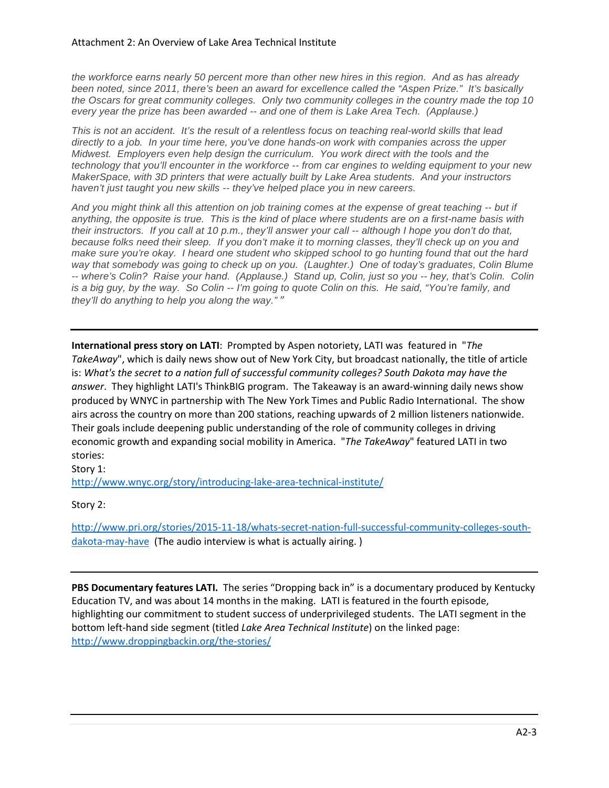*the workforce earns nearly 50 percent more than other new hires in this region. And as has already been noted, since 2011, there's been an award for excellence called the "Aspen Prize." It's basically the Oscars for great community colleges. Only two community colleges in the country made the top 10 every year the prize has been awarded -- and one of them is Lake Area Tech. (Applause.)*

*This is not an accident. It's the result of a relentless focus on teaching real-world skills that lead directly to a job. In your time here, you've done hands-on work with companies across the upper Midwest. Employers even help design the curriculum. You work direct with the tools and the technology that you'll encounter in the workforce -- from car engines to welding equipment to your new MakerSpace, with 3D printers that were actually built by Lake Area students. And your instructors haven't just taught you new skills -- they've helped place you in new careers.*

*And you might think all this attention on job training comes at the expense of great teaching -- but if anything, the opposite is true. This is the kind of place where students are on a first-name basis with their instructors. If you call at 10 p.m., they'll answer your call -- although I hope you don't do that, because folks need their sleep. If you don't make it to morning classes, they'll check up on you and make sure you're okay. I heard one student who skipped school to go hunting found that out the hard way that somebody was going to check up on you. (Laughter.) One of today's graduates, Colin Blume -- where's Colin? Raise your hand. (Applause.) Stand up, Colin, just so you -- hey, that's Colin. Colin is a big guy, by the way. So Colin -- I'm going to quote Colin on this. He said, "You're family, and they'll do anything to help you along the way."* "

**International press story on LATI**: Prompted by Aspen notoriety, LATI was featured in "*The TakeAway*", which is daily news show out of New York City, but broadcast nationally, the title of article is: *What's the secret to a nation full of successful community colleges? South Dakota may have the answer*. They highlight LATI's ThinkBIG program. The Takeaway is an award-winning daily news show produced by WNYC in partnership with The New York Times and Public Radio International. The show airs across the country on more than 200 stations, reaching upwards of 2 million listeners nationwide. Their goals include deepening public understanding of the role of community colleges in driving economic growth and expanding social mobility in America. "*The TakeAway*" featured LATI in two stories:

Story 1:

<http://www.wnyc.org/story/introducing-lake-area-technical-institute/>

Story 2:

[http://www.pri.org/stories/2015-11-18/whats-secret-nation-full-successful-community-colleges-south](http://www.pri.org/stories/2015-11-18/whats-secret-nation-full-successful-community-colleges-south-dakota-may-have)[dakota-may-have](http://www.pri.org/stories/2015-11-18/whats-secret-nation-full-successful-community-colleges-south-dakota-may-have) (The audio interview is what is actually airing.)

PBS Documentary features LATI. The series "Dropping back in" is a documentary produced by Kentucky Education TV, and was about 14 months in the making. LATI is featured in the fourth episode, highlighting our commitment to student success of underprivileged students. The LATI segment in the bottom left-hand side segment (titled *Lake Area Technical Institute*) on the linked page: <http://www.droppingbackin.org/the-stories/>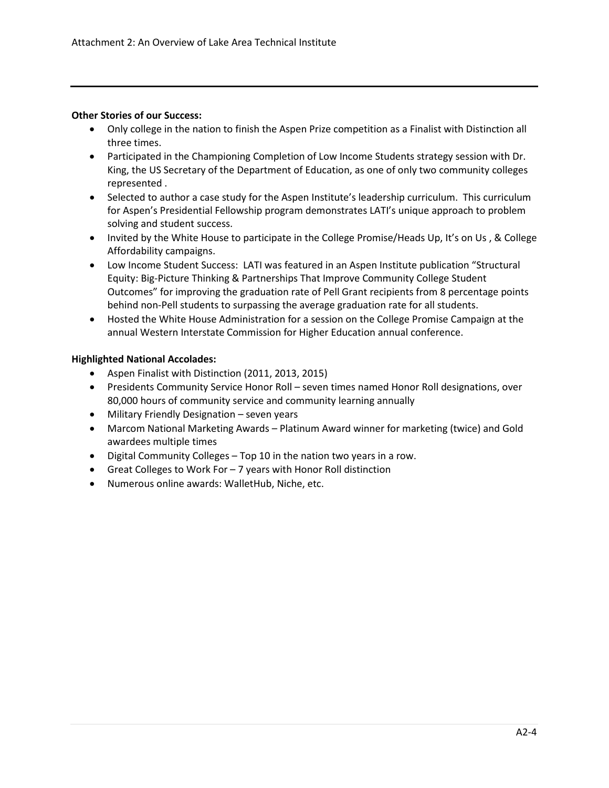#### **Other Stories of our Success:**

- Only college in the nation to finish the Aspen Prize competition as a Finalist with Distinction all three times.
- Participated in the Championing Completion of Low Income Students strategy session with Dr. King, the US Secretary of the Department of Education, as one of only two community colleges represented .
- Selected to author a case study for the Aspen Institute's leadership curriculum. This curriculum for Aspen's Presidential Fellowship program demonstrates LATI's unique approach to problem solving and student success.
- Invited by the White House to participate in the College Promise/Heads Up, It's on Us, & College Affordability campaigns.
- Low Income Student Success: LATI was featured in an Aspen Institute publication "Structural Equity: Big-Picture Thinking & Partnerships That Improve Community College Student Outcomes" for improving the graduation rate of Pell Grant recipients from 8 percentage points behind non-Pell students to surpassing the average graduation rate for all students.
- Hosted the White House Administration for a session on the College Promise Campaign at the annual Western Interstate Commission for Higher Education annual conference.

#### **Highlighted National Accolades:**

- Aspen Finalist with Distinction (2011, 2013, 2015)
- Presidents Community Service Honor Roll seven times named Honor Roll designations, over 80,000 hours of community service and community learning annually
- Military Friendly Designation seven years
- Marcom National Marketing Awards Platinum Award winner for marketing (twice) and Gold awardees multiple times
- Digital Community Colleges Top 10 in the nation two years in a row.
- Great Colleges to Work For 7 years with Honor Roll distinction
- Numerous online awards: WalletHub, Niche, etc.